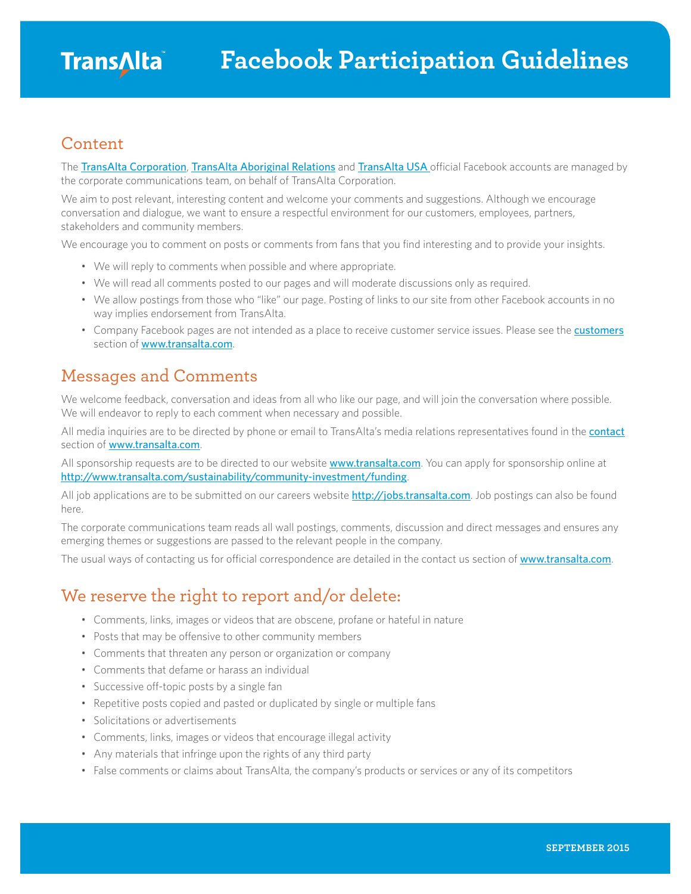#### Content

The [TransAlta Corporation](https://www.facebook.com/transalta), [TransAlta Aboriginal Relations](https://www.facebook.com/transaltaaboriginal) and [TransAlta USA](https://www.facebook.com/TransAltaUSA) official Facebook accounts are managed by the corporate communications team, on behalf of TransAlta Corporation.

We aim to post relevant, interesting content and welcome your comments and suggestions. Although we encourage conversation and dialogue, we want to ensure a respectful environment for our customers, employees, partners, stakeholders and community members.

We encourage you to comment on posts or comments from fans that you find interesting and to provide your insights.

- We will reply to comments when possible and where appropriate.
- We will read all comments posted to our pages and will moderate discussions only as required.
- We allow postings from those who "like" our page. Posting of links to our site from other Facebook accounts in no way implies endorsement from TransAlta.
- Company Facebook pages are not intended as a place to receive customer service issues. Please see the **[customers](http://www.transalta.com/customers)** section of [www.transalta.com](http://www.transalta.com).

#### Messages and Comments

We welcome feedback, conversation and ideas from all who like our page, and will join the conversation where possible. We will endeavor to reply to each comment when necessary and possible.

All media inquiries are to be directed by phone or email to TransAlta's media relations representatives found in the [contact](http://www.transalta.com/contact#headoffice) section of [www.transalta.com](http://www.transalta.com).

All sponsorship requests are to be directed to our website **[www.transalta.com](http://www.transalta.com)**. You can apply for sponsorship online at <http://www.transalta.com/sustainability/community-investment/funding>.

All job applications are to be submitted on our careers website <http://jobs.transalta.com>. Job postings can also be found here.

The corporate communications team reads all wall postings, comments, discussion and direct messages and ensures any emerging themes or suggestions are passed to the relevant people in the company.

The usual ways of contacting us for official correspondence are detailed in the contact us section of [www.transalta.com](http://www.transalta.com).

### We reserve the right to report and/or delete:

- Comments, links, images or videos that are obscene, profane or hateful in nature
- Posts that may be offensive to other community members
- Comments that threaten any person or organization or company
- Comments that defame or harass an individual
- Successive off-topic posts by a single fan
- Repetitive posts copied and pasted or duplicated by single or multiple fans
- Solicitations or advertisements
- Comments, links, images or videos that encourage illegal activity
- Any materials that infringe upon the rights of any third party
- False comments or claims about TransAlta, the company's products or services or any of its competitors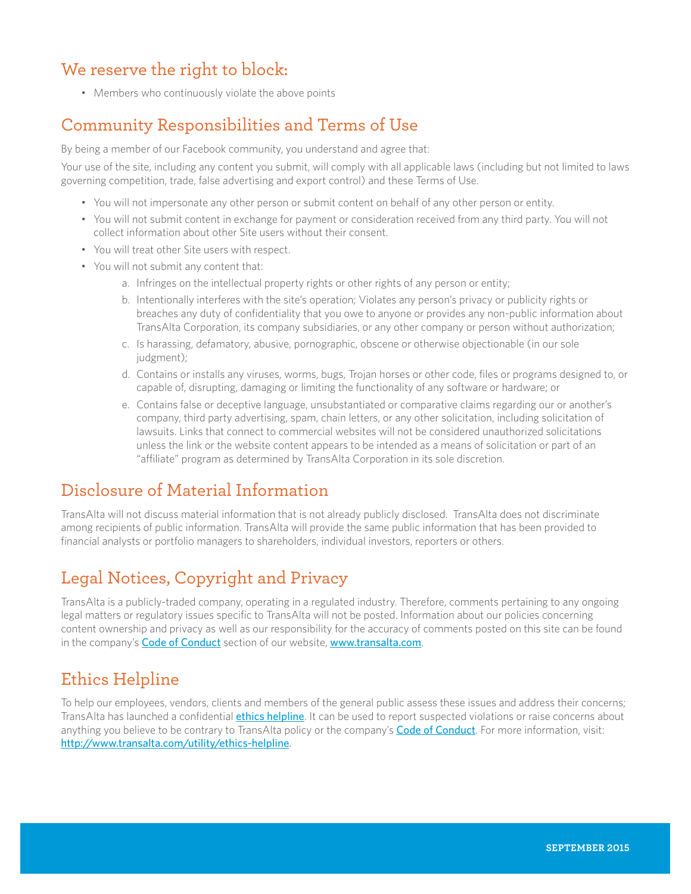# We reserve the right to block:

• Members who continuously violate the above points

# Community Responsibilities and Terms of Use

By being a member of our Facebook community, you understand and agree that:

Your use of the site, including any content you submit, will comply with all applicable laws (including but not limited to laws governing competition, trade, false advertising and export control) and these Terms of Use.

- You will not impersonate any other person or submit content on behalf of any other person or entity.
- You will not submit content in exchange for payment or consideration received from any third party. You will not collect information about other Site users without their consent.
- You will treat other Site users with respect.
- You will not submit any content that:
	- a. Infringes on the intellectual property rights or other rights of any person or entity;
	- b. Intentionally interferes with the site's operation; Violates any person's privacy or publicity rights or breaches any duty of confidentiality that you owe to anyone or provides any non-public information about TransAlta Corporation, its company subsidiaries, or any other company or person without authorization;
	- c. Is harassing, defamatory, abusive, pornographic, obscene or otherwise objectionable (in our sole judgment);
	- d. Contains or installs any viruses, worms, bugs, Trojan horses or other code, files or programs designed to, or capable of, disrupting, damaging or limiting the functionality of any software or hardware; or
	- e. Contains false or deceptive language, unsubstantiated or comparative claims regarding our or another's company, third party advertising, spam, chain letters, or any other solicitation, including solicitation of lawsuits. Links that connect to commercial websites will not be considered unauthorized solicitations unless the link or the website content appears to be intended as a means of solicitation or part of an "affiliate" program as determined by TransAlta Corporation in its sole discretion.

# Disclosure of Material Information

TransAlta will not discuss material information that is not already publicly disclosed. TransAlta does not discriminate among recipients of public information. TransAlta will provide the same public information that has been provided to financial analysts or portfolio managers to shareholders, individual investors, reporters or others.

# Legal Notices, Copyright and Privacy

TransAlta is a publicly-traded company, operating in a regulated industry. Therefore, comments pertaining to any ongoing legal matters or regulatory issues specific to TransAlta will not be posted. Information about our policies concerning content ownership and privacy as well as our responsibility for the accuracy of comments posted on this site can be found in the company's [Code of Conduct](http://www.transalta.com/about-us/governance/corporate-code-conduct) section of our website, [www.transalta.com](http://www.transalta.com).

### Ethics Helpline

To help our employees, vendors, clients and members of the general public assess these issues and address their concerns; TransAlta has launched a confidential *[ethics helpline](http://www.transalta.com/utility/ethics-helpline)*. It can be used to report suspected violations or raise concerns about anything you believe to be contrary to TransAlta policy or the company's **[Code of Conduct](http://www.transalta.com/about-us/governance/corporate-code-conduct)**. For more information, visit: <http://www.transalta.com/utility/ethics-helpline>.